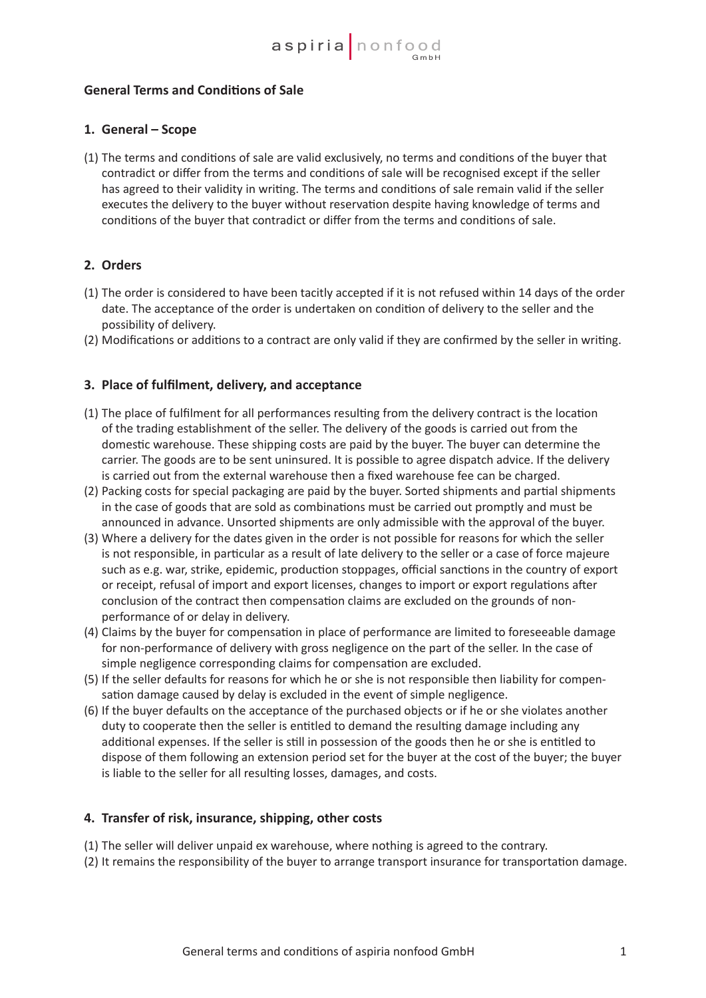## **General Terms and Conditions of Sale**

### **1. General – Scope**

(1) The terms and conditions of sale are valid exclusively, no terms and conditions of the buyer that contradict or differ from the terms and conditions of sale will be recognised except if the seller has agreed to their validity in writing. The terms and conditions of sale remain valid if the seller executes the delivery to the buyer without reservation despite having knowledge of terms and conditions of the buyer that contradict or differ from the terms and conditions of sale.

## **2. Orders**

- (1) The order is considered to have been tacitly accepted if it is not refused within 14 days of the order date. The acceptance of the order is undertaken on condition of delivery to the seller and the possibility of delivery.
- (2) Modifications or additions to a contract are only valid if they are confirmed by the seller in writing.

### **3. Place of fulfilment, delivery, and acceptance**

- (1) The place of fulfilment for all performances resulting from the delivery contract is the location of the trading establishment of the seller. The delivery of the goods is carried out from the domestic warehouse. These shipping costs are paid by the buyer. The buyer can determine the carrier. The goods are to be sent uninsured. It is possible to agree dispatch advice. If the delivery is carried out from the external warehouse then a fixed warehouse fee can be charged.
- (2) Packing costs for special packaging are paid by the buyer. Sorted shipments and partial shipments in the case of goods that are sold as combinations must be carried out promptly and must be announced in advance. Unsorted shipments are only admissible with the approval of the buyer.
- (3) Where a delivery for the dates given in the order is not possible for reasons for which the seller is not responsible, in particular as a result of late delivery to the seller or a case of force majeure such as e.g. war, strike, epidemic, production stoppages, official sanctions in the country of export or receipt, refusal of import and export licenses, changes to import or export regulations after conclusion of the contract then compensation claims are excluded on the grounds of non- performance of or delay in delivery.
- (4) Claims by the buyer for compensation in place of performance are limited to foreseeable damage for non-performance of delivery with gross negligence on the part of the seller. In the case of simple negligence corresponding claims for compensation are excluded.
- (5) If the seller defaults for reasons for which he or she is not responsible then liability for compen- sation damage caused by delay is excluded in the event of simple negligence.
- (6) If the buyer defaults on the acceptance of the purchased objects or if he or she violates another duty to cooperate then the seller is entitled to demand the resulting damage including any additional expenses. If the seller is still in possession of the goods then he or she is entitled to dispose of them following an extension period set for the buyer at the cost of the buyer; the buyer is liable to the seller for all resulting losses, damages, and costs.

#### **4. Transfer of risk, insurance, shipping, other costs**

- (1) The seller will deliver unpaid ex warehouse, where nothing is agreed to the contrary.
- (2) It remains the responsibility of the buyer to arrange transport insurance for transportation damage.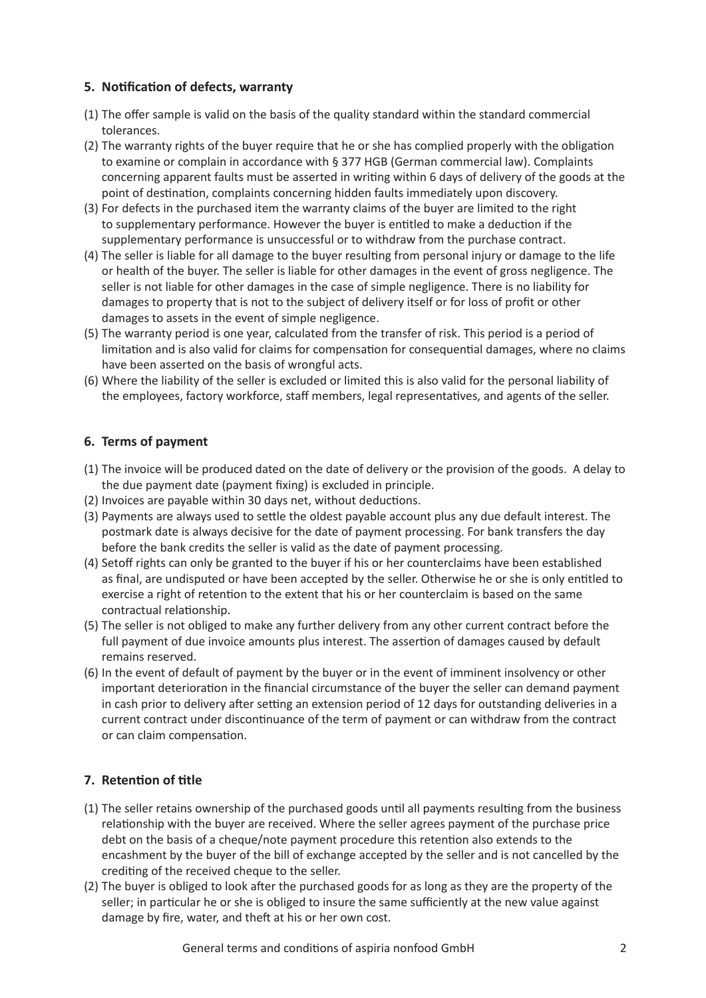## **5. Notification of defects, warranty**

- (1) The offer sample is valid on the basis of the quality standard within the standard commercial tolerances.
- (2) The warranty rights of the buyer require that he or she has complied properly with the obligation to examine or complain in accordance with § 377 HGB (German commercial law). Complaints concerning apparent faults must be asserted in writing within 6 days of delivery of the goods at the point of destination, complaints concerning hidden faults immediately upon discovery.
- (3) For defects in the purchased item the warranty claims of the buyer are limited to the right to supplementary performance. However the buyer is entitled to make a deduction if the supplementary performance is unsuccessful or to withdraw from the purchase contract.
- (4) The seller is liable for all damage to the buyer resulting from personal injury or damage to the life or health of the buyer. The seller is liable for other damages in the event of gross negligence. The seller is not liable for other damages in the case of simple negligence. There is no liability for damages to property that is not to the subject of delivery itself or for loss of profit or other damages to assets in the event of simple negligence.
- (5) The warranty period is one year, calculated from the transfer of risk. This period is a period of limitation and is also valid for claims for compensation for consequential damages, where no claims have been asserted on the basis of wrongful acts.
- (6) Where the liability of the seller is excluded or limited this is also valid for the personal liability of the employees, factory workforce, staff members, legal representatives, and agents of the seller.

## **6. Terms of payment**

- (1) The invoice will be produced dated on the date of delivery or the provision of the goods. A delay to the due payment date (payment fixing) is excluded in principle.
- (2) Invoices are payable within 30 days net, without deductions.
- (3) Payments are always used to settle the oldest payable account plus any due default interest. The postmark date is always decisive for the date of payment processing. For bank transfers the day before the bank credits the seller is valid as the date of payment processing.
- (4) Setoff rights can only be granted to the buyer if his or her counterclaims have been established as final, are undisputed or have been accepted by the seller. Otherwise he or she is only entitled to exercise a right of retention to the extent that his or her counterclaim is based on the same contractual relationship.
- (5) The seller is not obliged to make any further delivery from any other current contract before the full payment of due invoice amounts plus interest. The assertion of damages caused by default remains reserved.
- (6) In the event of default of payment by the buyer or in the event of imminent insolvency or other important deterioration in the financial circumstance of the buyer the seller can demand payment in cash prior to delivery after setting an extension period of 12 days for outstanding deliveries in a current contract under discontinuance of the term of payment or can withdraw from the contract or can claim compensation.

# **7. Retention of title**

- (1) The seller retains ownership of the purchased goods until all payments resulting from the business relationship with the buyer are received. Where the seller agrees payment of the purchase price debt on the basis of a cheque/note payment procedure this retention also extends to the encashment by the buyer of the bill of exchange accepted by the seller and is not cancelled by the crediting of the received cheque to the seller.
- (2) The buyer is obliged to look after the purchased goods for as long as they are the property of the seller; in particular he or she is obliged to insure the same sufficiently at the new value against damage by fire, water, and theft at his or her own cost.